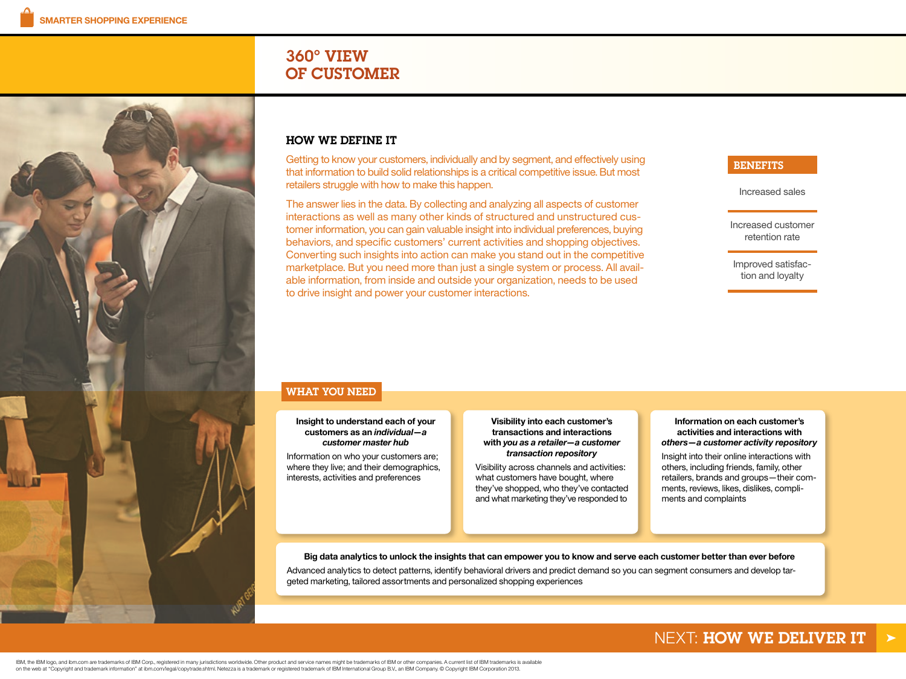# 360º VIEW OF CUSTOMER

<span id="page-0-0"></span>

Getting to know your customers, individually and by segment, and effectively using that information to build solid relationships is a critical competitive issue. But most retailers struggle with how to make this happen.

The answer lies in the data. By collecting and analyzing all aspects of customer interactions as well as many other kinds of structured and unstructured customer information, you can gain valuable insight into individual preferences, buying behaviors, and specific customers' current activities and shopping objectives. Converting such insights into action can make you stand out in the competitive marketplace. But you need more than just a single system or process. All available information, from inside and outside your organization, needs to be used to drive insight and power your customer interactions.

### **BENEFITS**

Increased sales

Increased customer retention rate

Improved satisfaction and loyalty

## WHAT YOU NEED

**Insight to understand each of your customers as an** *individual—a customer master hub*

Information on who your customers are; where they live; and their demographics, interests, activities and preferences

**Visibility into each customer's transactions and interactions with** *you as a retailer—a customer transaction repository*

Visibility across channels and activities: what customers have bought, where they've shopped, who they've contacted and what marketing they've responded to

**Information on each customer's activities and interactions with**  *others—a customer activity repository*

Insight into their online interactions with others, including friends, family, other retailers, brands and groups—their comments, reviews, likes, dislikes, compliments and complaints

**Big data analytics to unlock the insights that can empower you to know and serve each customer better than ever before** Advanced analytics to detect patterns, identify behavioral drivers and predict demand so you can segment consumers and develop targeted marketing, tailored assortments and personalized shopping experiences